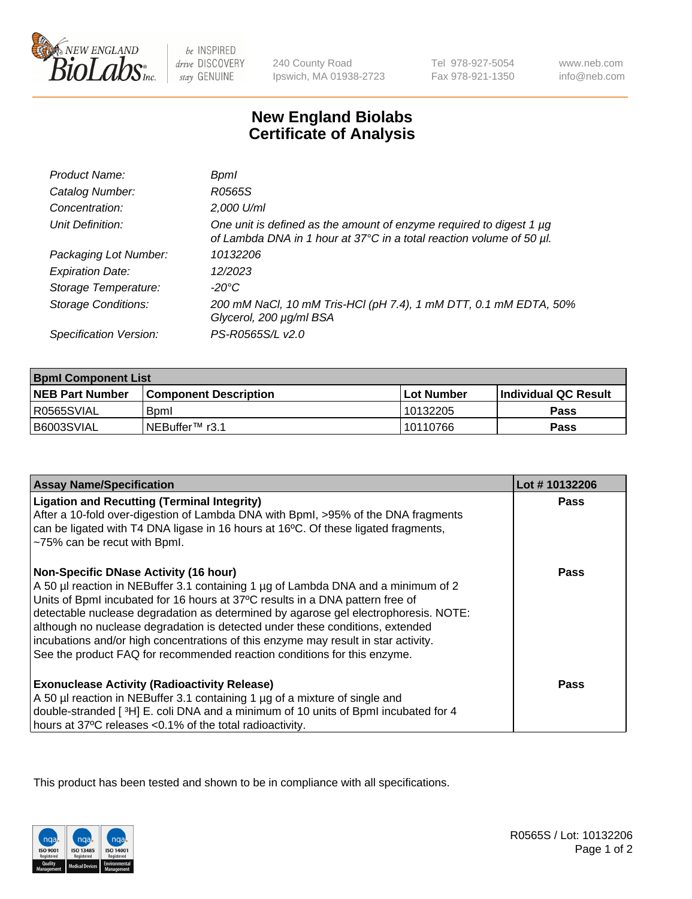

 $be$  INSPIRED drive DISCOVERY stay GENUINE

240 County Road Ipswich, MA 01938-2723 Tel 978-927-5054 Fax 978-921-1350

www.neb.com info@neb.com

## **New England Biolabs Certificate of Analysis**

| Product Name:           | Bpml                                                                                                                                             |
|-------------------------|--------------------------------------------------------------------------------------------------------------------------------------------------|
| Catalog Number:         | R0565S                                                                                                                                           |
| Concentration:          | 2,000 U/ml                                                                                                                                       |
| Unit Definition:        | One unit is defined as the amount of enzyme required to digest 1 $\mu$ g<br>of Lambda DNA in 1 hour at 37°C in a total reaction volume of 50 µl. |
| Packaging Lot Number:   | 10132206                                                                                                                                         |
| <b>Expiration Date:</b> | 12/2023                                                                                                                                          |
| Storage Temperature:    | -20°C                                                                                                                                            |
| Storage Conditions:     | 200 mM NaCl, 10 mM Tris-HCl (pH 7.4), 1 mM DTT, 0.1 mM EDTA, 50%<br>Glycerol, 200 µg/ml BSA                                                      |
| Specification Version:  | PS-R0565S/L v2.0                                                                                                                                 |

| <b>Bpml Component List</b> |                              |              |                             |  |
|----------------------------|------------------------------|--------------|-----------------------------|--|
| <b>NEB Part Number</b>     | <b>Component Description</b> | l Lot Number | <b>Individual QC Result</b> |  |
| R0565SVIAL                 | <b>B</b> <sub>pm</sub>       | 10132205     | Pass                        |  |
| B6003SVIAL                 | INEBuffer™ r3.1              | 10110766     | Pass                        |  |

| <b>Assay Name/Specification</b>                                                                                                                                                                                                                                                                                                                                                                                                                                                                                                                              | Lot #10132206 |
|--------------------------------------------------------------------------------------------------------------------------------------------------------------------------------------------------------------------------------------------------------------------------------------------------------------------------------------------------------------------------------------------------------------------------------------------------------------------------------------------------------------------------------------------------------------|---------------|
| <b>Ligation and Recutting (Terminal Integrity)</b><br>After a 10-fold over-digestion of Lambda DNA with Bpml, >95% of the DNA fragments<br>can be ligated with T4 DNA ligase in 16 hours at 16°C. Of these ligated fragments,<br>~75% can be recut with Bpml.                                                                                                                                                                                                                                                                                                | <b>Pass</b>   |
| <b>Non-Specific DNase Activity (16 hour)</b><br>A 50 µl reaction in NEBuffer 3.1 containing 1 µg of Lambda DNA and a minimum of 2<br>Units of BpmI incubated for 16 hours at 37°C results in a DNA pattern free of<br>detectable nuclease degradation as determined by agarose gel electrophoresis. NOTE:<br>although no nuclease degradation is detected under these conditions, extended<br>incubations and/or high concentrations of this enzyme may result in star activity.<br>See the product FAQ for recommended reaction conditions for this enzyme. | <b>Pass</b>   |
| <b>Exonuclease Activity (Radioactivity Release)</b><br>A 50 µl reaction in NEBuffer 3.1 containing 1 µg of a mixture of single and<br>double-stranded [3H] E. coli DNA and a minimum of 10 units of BpmI incubated for 4<br>hours at 37°C releases <0.1% of the total radioactivity.                                                                                                                                                                                                                                                                         | Pass          |

This product has been tested and shown to be in compliance with all specifications.